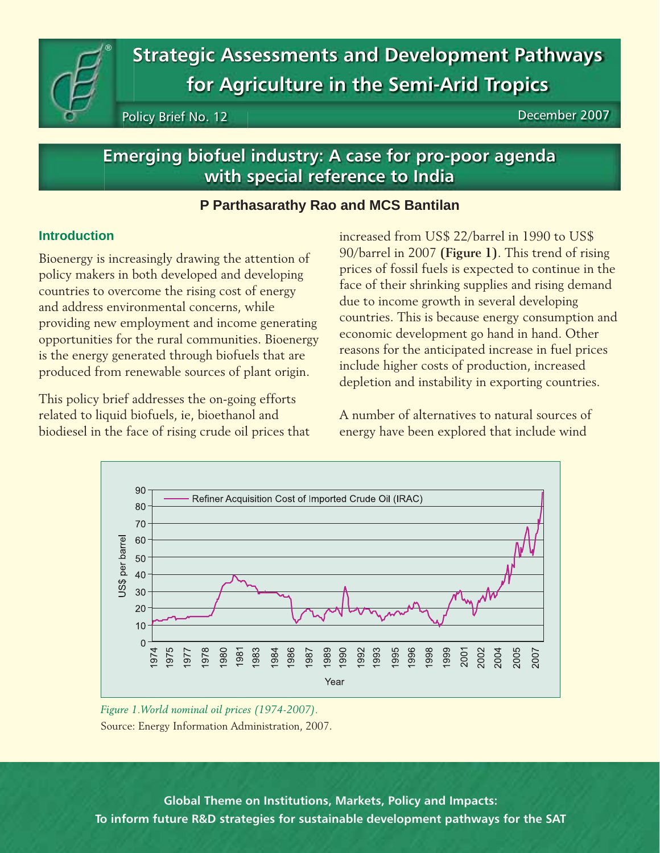**Strategic Assessments and Development Pathways for Agriculture in the Semi-Arid Tropics**

Policy Brief No. 12 **December 2007** 

# **Emerging biofuel industry: A case for pro-poor agenda with special reference to India**

# **P Parthasarathy Rao and MCS Bantilan**

### **Introduction**

®

Bioenergy is increasingly drawing the attention of policy makers in both developed and developing countries to overcome the rising cost of energy and address environmental concerns, while providing new employment and income generating opportunities for the rural communities. Bioenergy is the energy generated through biofuels that are produced from renewable sources of plant origin.

This policy brief addresses the on-going efforts related to liquid biofuels, ie, bioethanol and biodiesel in the face of rising crude oil prices that increased from US\$ 22/barrel in 1990 to US\$ 90/barrel in 2007 **(Figure 1)**. This trend of rising prices of fossil fuels is expected to continue in the face of their shrinking supplies and rising demand due to income growth in several developing countries. This is because energy consumption and economic development go hand in hand. Other reasons for the anticipated increase in fuel prices include higher costs of production, increased depletion and instability in exporting countries.

A number of alternatives to natural sources of energy have been explored that include wind



*Figure 1.World nominal oil prices (1974-2007).* Source: Energy Information Administration, 2007.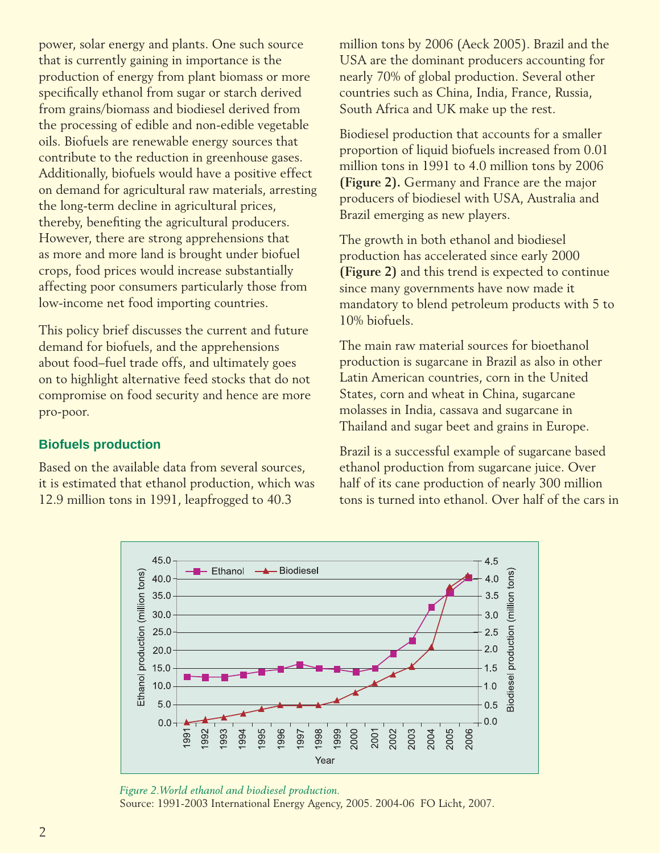power, solar energy and plants. One such source that is currently gaining in importance is the production of energy from plant biomass or more specifically ethanol from sugar or starch derived from grains/biomass and biodiesel derived from the processing of edible and non-edible vegetable oils. Biofuels are renewable energy sources that contribute to the reduction in greenhouse gases. Additionally, biofuels would have a positive effect on demand for agricultural raw materials, arresting the long-term decline in agricultural prices, thereby, benefiting the agricultural producers. However, there are strong apprehensions that as more and more land is brought under biofuel crops, food prices would increase substantially affecting poor consumers particularly those from low-income net food importing countries.

This policy brief discusses the current and future demand for biofuels, and the apprehensions about food–fuel trade offs, and ultimately goes on to highlight alternative feed stocks that do not compromise on food security and hence are more pro-poor.

# **Biofuels production**

Based on the available data from several sources, it is estimated that ethanol production, which was 12.9 million tons in 1991, leapfrogged to 40.3

million tons by 2006 (Aeck 2005). Brazil and the USA are the dominant producers accounting for nearly 70% of global production. Several other countries such as China, India, France, Russia, South Africa and UK make up the rest.

Biodiesel production that accounts for a smaller proportion of liquid biofuels increased from 0.01 million tons in 1991 to 4.0 million tons by 2006 **(Figure 2).** Germany and France are the major producers of biodiesel with USA, Australia and Brazil emerging as new players.

The growth in both ethanol and biodiesel production has accelerated since early 2000 **(Figure 2)** and this trend is expected to continue since many governments have now made it mandatory to blend petroleum products with 5 to 10% biofuels.

The main raw material sources for bioethanol production is sugarcane in Brazil as also in other Latin American countries, corn in the United States, corn and wheat in China, sugarcane molasses in India, cassava and sugarcane in Thailand and sugar beet and grains in Europe.

Brazil is a successful example of sugarcane based ethanol production from sugarcane juice. Over half of its cane production of nearly 300 million tons is turned into ethanol. Over half of the cars in



*Figure 2.World ethanol and biodiesel production.*  Source: 1991-2003 International Energy Agency, 2005. 2004-06 FO Licht, 2007.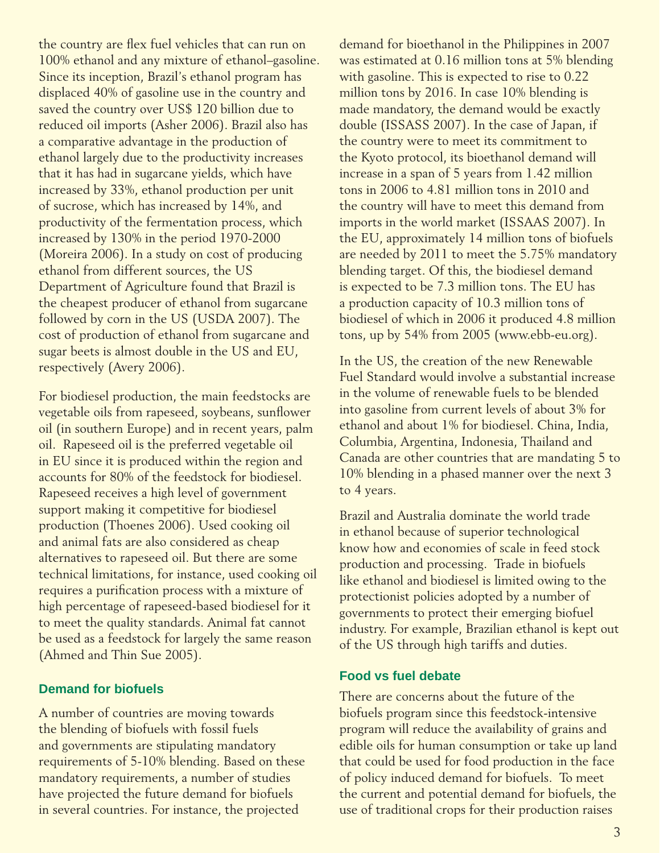the country are flex fuel vehicles that can run on 100% ethanol and any mixture of ethanol–gasoline. Since its inception, Brazil's ethanol program has displaced 40% of gasoline use in the country and saved the country over US\$ 120 billion due to reduced oil imports (Asher 2006). Brazil also has a comparative advantage in the production of ethanol largely due to the productivity increases that it has had in sugarcane yields, which have increased by 33%, ethanol production per unit of sucrose, which has increased by 14%, and productivity of the fermentation process, which increased by 130% in the period 1970-2000 (Moreira 2006). In a study on cost of producing ethanol from different sources, the US Department of Agriculture found that Brazil is the cheapest producer of ethanol from sugarcane followed by corn in the US (USDA 2007). The cost of production of ethanol from sugarcane and sugar beets is almost double in the US and EU, respectively (Avery 2006).

For biodiesel production, the main feedstocks are vegetable oils from rapeseed, soybeans, sunflower oil (in southern Europe) and in recent years, palm oil. Rapeseed oil is the preferred vegetable oil in EU since it is produced within the region and accounts for 80% of the feedstock for biodiesel. Rapeseed receives a high level of government support making it competitive for biodiesel production (Thoenes 2006). Used cooking oil and animal fats are also considered as cheap alternatives to rapeseed oil. But there are some technical limitations, for instance, used cooking oil requires a purification process with a mixture of high percentage of rapeseed-based biodiesel for it to meet the quality standards. Animal fat cannot be used as a feedstock for largely the same reason (Ahmed and Thin Sue 2005).

### **Demand for biofuels**

A number of countries are moving towards the blending of biofuels with fossil fuels and governments are stipulating mandatory requirements of 5-10% blending. Based on these mandatory requirements, a number of studies have projected the future demand for biofuels in several countries. For instance, the projected

demand for bioethanol in the Philippines in 2007 was estimated at 0.16 million tons at 5% blending with gasoline. This is expected to rise to 0.22 million tons by 2016. In case 10% blending is made mandatory, the demand would be exactly double (ISSASS 2007). In the case of Japan, if the country were to meet its commitment to the Kyoto protocol, its bioethanol demand will increase in a span of 5 years from 1.42 million tons in 2006 to 4.81 million tons in 2010 and the country will have to meet this demand from imports in the world market (ISSAAS 2007). In the EU, approximately 14 million tons of biofuels are needed by 2011 to meet the 5.75% mandatory blending target. Of this, the biodiesel demand is expected to be 7.3 million tons. The EU has a production capacity of 10.3 million tons of biodiesel of which in 2006 it produced 4.8 million tons, up by 54% from 2005 (www.ebb-eu.org).

In the US, the creation of the new Renewable Fuel Standard would involve a substantial increase in the volume of renewable fuels to be blended into gasoline from current levels of about 3% for ethanol and about 1% for biodiesel. China, India, Columbia, Argentina, Indonesia, Thailand and Canada are other countries that are mandating 5 to 10% blending in a phased manner over the next 3 to 4 years.

Brazil and Australia dominate the world trade in ethanol because of superior technological know how and economies of scale in feed stock production and processing. Trade in biofuels like ethanol and biodiesel is limited owing to the protectionist policies adopted by a number of governments to protect their emerging biofuel industry. For example, Brazilian ethanol is kept out of the US through high tariffs and duties.

### **Food vs fuel debate**

There are concerns about the future of the biofuels program since this feedstock-intensive program will reduce the availability of grains and edible oils for human consumption or take up land that could be used for food production in the face of policy induced demand for biofuels. To meet the current and potential demand for biofuels, the use of traditional crops for their production raises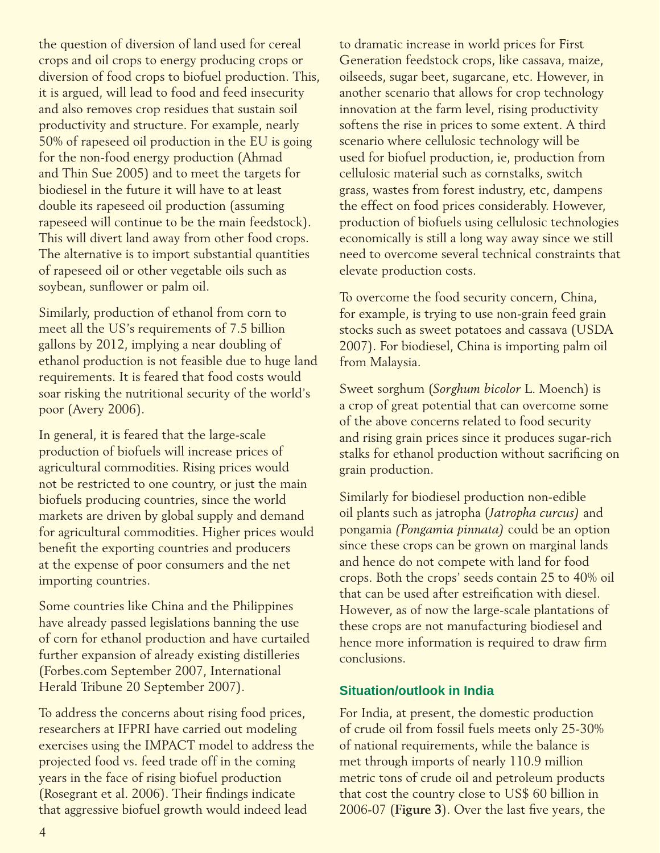the question of diversion of land used for cereal crops and oil crops to energy producing crops or diversion of food crops to biofuel production. This, it is argued, will lead to food and feed insecurity and also removes crop residues that sustain soil productivity and structure. For example, nearly 50% of rapeseed oil production in the EU is going for the non-food energy production (Ahmad and Thin Sue 2005) and to meet the targets for biodiesel in the future it will have to at least double its rapeseed oil production (assuming rapeseed will continue to be the main feedstock). This will divert land away from other food crops. The alternative is to import substantial quantities of rapeseed oil or other vegetable oils such as soybean, sunflower or palm oil.

Similarly, production of ethanol from corn to meet all the US's requirements of 7.5 billion gallons by 2012, implying a near doubling of ethanol production is not feasible due to huge land requirements. It is feared that food costs would soar risking the nutritional security of the world's poor (Avery 2006).

In general, it is feared that the large-scale production of biofuels will increase prices of agricultural commodities. Rising prices would not be restricted to one country, or just the main biofuels producing countries, since the world markets are driven by global supply and demand for agricultural commodities. Higher prices would benefit the exporting countries and producers at the expense of poor consumers and the net importing countries.

Some countries like China and the Philippines have already passed legislations banning the use of corn for ethanol production and have curtailed further expansion of already existing distilleries (Forbes.com September 2007, International Herald Tribune 20 September 2007).

To address the concerns about rising food prices, researchers at IFPRI have carried out modeling exercises using the IMPACT model to address the projected food vs. feed trade off in the coming years in the face of rising biofuel production (Rosegrant et al. 2006). Their findings indicate that aggressive biofuel growth would indeed lead

to dramatic increase in world prices for First Generation feedstock crops, like cassava, maize, oilseeds, sugar beet, sugarcane, etc. However, in another scenario that allows for crop technology innovation at the farm level, rising productivity softens the rise in prices to some extent. A third scenario where cellulosic technology will be used for biofuel production, ie, production from cellulosic material such as cornstalks, switch grass, wastes from forest industry, etc, dampens the effect on food prices considerably. However, production of biofuels using cellulosic technologies economically is still a long way away since we still need to overcome several technical constraints that elevate production costs.

To overcome the food security concern, China, for example, is trying to use non-grain feed grain stocks such as sweet potatoes and cassava (USDA 2007). For biodiesel, China is importing palm oil from Malaysia.

Sweet sorghum (*Sorghum bicolor* L. Moench) is a crop of great potential that can overcome some of the above concerns related to food security and rising grain prices since it produces sugar-rich stalks for ethanol production without sacrificing on grain production.

Similarly for biodiesel production non-edible oil plants such as jatropha (*Jatropha curcus)* and pongamia *(Pongamia pinnata)* could be an option since these crops can be grown on marginal lands and hence do not compete with land for food crops. Both the crops' seeds contain 25 to 40% oil that can be used after estreification with diesel. However, as of now the large-scale plantations of these crops are not manufacturing biodiesel and hence more information is required to draw firm conclusions.

# **Situation/outlook in India**

For India, at present, the domestic production of crude oil from fossil fuels meets only 25-30% of national requirements, while the balance is met through imports of nearly 110.9 million metric tons of crude oil and petroleum products that cost the country close to US\$ 60 billion in 2006-07 (**Figure 3**). Over the last five years, the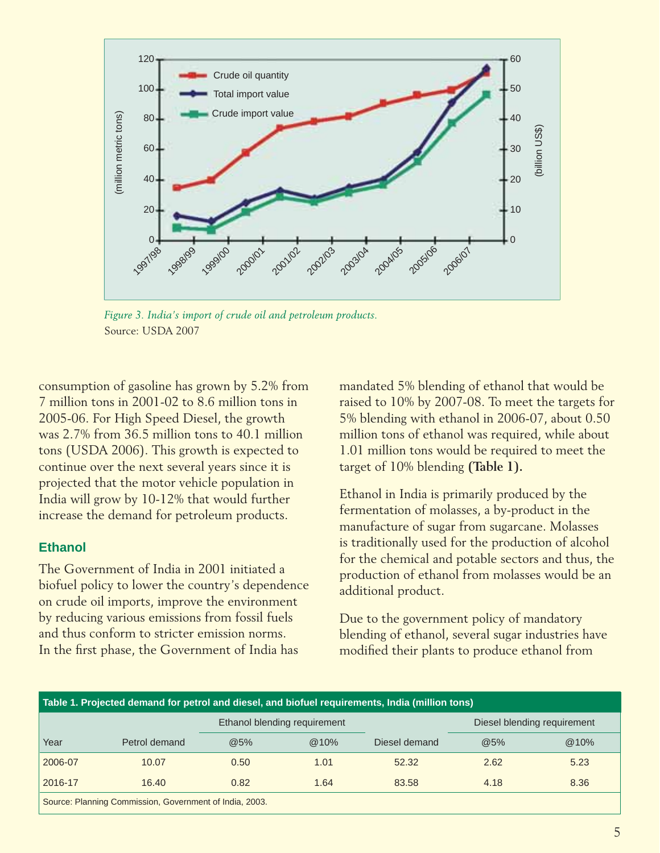

*Figure 3. India's import of crude oil and petroleum products.* Source: USDA 2007

consumption of gasoline has grown by 5.2% from 7 million tons in 2001-02 to 8.6 million tons in 2005-06. For High Speed Diesel, the growth was 2.7% from 36.5 million tons to 40.1 million tons (USDA 2006). This growth is expected to continue over the next several years since it is projected that the motor vehicle population in India will grow by 10-12% that would further increase the demand for petroleum products.

### **Ethanol**

The Government of India in 2001 initiated a biofuel policy to lower the country's dependence on crude oil imports, improve the environment by reducing various emissions from fossil fuels and thus conform to stricter emission norms. In the first phase, the Government of India has

mandated 5% blending of ethanol that would be raised to 10% by 2007-08. To meet the targets for 5% blending with ethanol in 2006-07, about 0.50 million tons of ethanol was required, while about 1.01 million tons would be required to meet the target of 10% blending **(Table 1).**

Ethanol in India is primarily produced by the fermentation of molasses, a by-product in the manufacture of sugar from sugarcane. Molasses is traditionally used for the production of alcohol for the chemical and potable sectors and thus, the production of ethanol from molasses would be an additional product.

Due to the government policy of mandatory blending of ethanol, several sugar industries have modified their plants to produce ethanol from

| Table 1. Projected demand for petrol and diesel, and biofuel requirements, India (million tons) |               |      |                              |               |                             |      |
|-------------------------------------------------------------------------------------------------|---------------|------|------------------------------|---------------|-----------------------------|------|
|                                                                                                 |               |      | Ethanol blending requirement |               | Diesel blending requirement |      |
| Year                                                                                            | Petrol demand | @5%  | $@10\%$                      | Diesel demand | @5%                         | @10% |
| 2006-07                                                                                         | 10.07         | 0.50 | 1.01                         | 52.32         | 2.62                        | 5.23 |
| 2016-17                                                                                         | 16.40         | 0.82 | 1.64                         | 83.58         | 4.18                        | 8.36 |
| Source: Planning Commission, Government of India, 2003.                                         |               |      |                              |               |                             |      |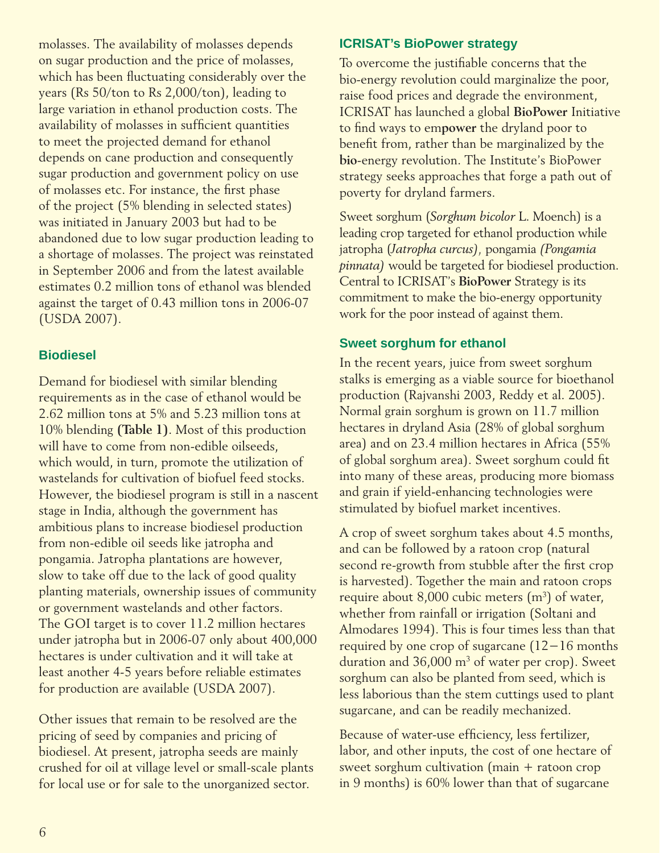molasses. The availability of molasses depends on sugar production and the price of molasses, which has been fluctuating considerably over the years (Rs 50/ton to Rs 2,000/ton), leading to large variation in ethanol production costs. The availability of molasses in sufficient quantities to meet the projected demand for ethanol depends on cane production and consequently sugar production and government policy on use of molasses etc. For instance, the first phase of the project (5% blending in selected states) was initiated in January 2003 but had to be abandoned due to low sugar production leading to a shortage of molasses. The project was reinstated in September 2006 and from the latest available estimates 0.2 million tons of ethanol was blended against the target of 0.43 million tons in 2006-07 (USDA 2007).

# **Biodiesel**

Demand for biodiesel with similar blending requirements as in the case of ethanol would be 2.62 million tons at 5% and 5.23 million tons at 10% blending **(Table 1)**. Most of this production will have to come from non-edible oilseeds, which would, in turn, promote the utilization of wastelands for cultivation of biofuel feed stocks. However, the biodiesel program is still in a nascent stage in India, although the government has ambitious plans to increase biodiesel production from non-edible oil seeds like jatropha and pongamia. Jatropha plantations are however, slow to take off due to the lack of good quality planting materials, ownership issues of community or government wastelands and other factors. The GOI target is to cover 11.2 million hectares under jatropha but in 2006-07 only about 400,000 hectares is under cultivation and it will take at least another 4-5 years before reliable estimates for production are available (USDA 2007).

Other issues that remain to be resolved are the pricing of seed by companies and pricing of biodiesel. At present, jatropha seeds are mainly crushed for oil at village level or small-scale plants for local use or for sale to the unorganized sector.

# **ICRISAT's BioPower strategy**

To overcome the justifiable concerns that the bio-energy revolution could marginalize the poor, raise food prices and degrade the environment, ICRISAT has launched a global **BioPower** Initiative to find ways to em**power** the dryland poor to benefit from, rather than be marginalized by the **bio**-energy revolution. The Institute's BioPower strategy seeks approaches that forge a path out of poverty for dryland farmers.

Sweet sorghum (*Sorghum bicolor* L. Moench) is a leading crop targeted for ethanol production while jatropha (*Jatropha curcus),* pongamia *(Pongamia pinnata)* would be targeted for biodiesel production. Central to ICRISAT's **BioPower** Strategy is its commitment to make the bio-energy opportunity work for the poor instead of against them.

# **Sweet sorghum for ethanol**

In the recent years, juice from sweet sorghum stalks is emerging as a viable source for bioethanol production (Rajvanshi 2003, Reddy et al. 2005). Normal grain sorghum is grown on 11.7 million hectares in dryland Asia (28% of global sorghum area) and on 23.4 million hectares in Africa (55% of global sorghum area). Sweet sorghum could fit into many of these areas, producing more biomass and grain if yield-enhancing technologies were stimulated by biofuel market incentives.

A crop of sweet sorghum takes about 4.5 months, and can be followed by a ratoon crop (natural second re-growth from stubble after the first crop is harvested). Together the main and ratoon crops require about 8,000 cubic meters (m<sup>3</sup>) of water, whether from rainfall or irrigation (Soltani and Almodares 1994). This is four times less than that required by one crop of sugarcane (12−16 months duration and 36,000 m<sup>3</sup> of water per crop). Sweet sorghum can also be planted from seed, which is less laborious than the stem cuttings used to plant sugarcane, and can be readily mechanized.

Because of water-use efficiency, less fertilizer, labor, and other inputs, the cost of one hectare of sweet sorghum cultivation (main + ratoon crop in 9 months) is 60% lower than that of sugarcane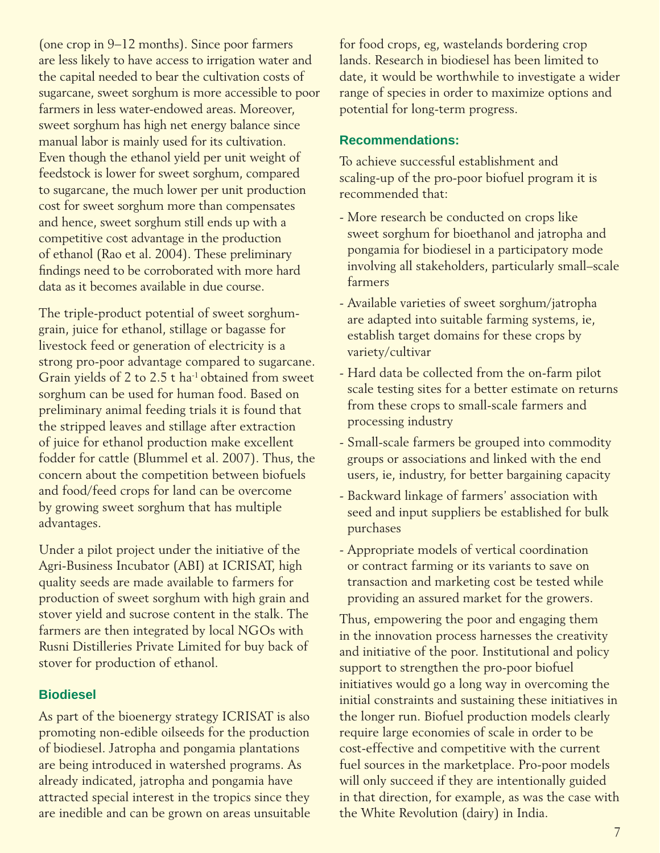(one crop in 9−12 months). Since poor farmers are less likely to have access to irrigation water and the capital needed to bear the cultivation costs of sugarcane, sweet sorghum is more accessible to poor farmers in less water-endowed areas. Moreover, sweet sorghum has high net energy balance since manual labor is mainly used for its cultivation. Even though the ethanol yield per unit weight of feedstock is lower for sweet sorghum, compared to sugarcane, the much lower per unit production cost for sweet sorghum more than compensates and hence, sweet sorghum still ends up with a competitive cost advantage in the production of ethanol (Rao et al. 2004). These preliminary findings need to be corroborated with more hard data as it becomes available in due course.

The triple-product potential of sweet sorghumgrain, juice for ethanol, stillage or bagasse for livestock feed or generation of electricity is a strong pro-poor advantage compared to sugarcane. Grain yields of 2 to 2.5 t ha-1 obtained from sweet sorghum can be used for human food. Based on preliminary animal feeding trials it is found that the stripped leaves and stillage after extraction of juice for ethanol production make excellent fodder for cattle (Blummel et al. 2007). Thus, the concern about the competition between biofuels and food/feed crops for land can be overcome by growing sweet sorghum that has multiple advantages.

Under a pilot project under the initiative of the Agri-Business Incubator (ABI) at ICRISAT, high quality seeds are made available to farmers for production of sweet sorghum with high grain and stover yield and sucrose content in the stalk. The farmers are then integrated by local NGOs with Rusni Distilleries Private Limited for buy back of stover for production of ethanol.

### **Biodiesel**

As part of the bioenergy strategy ICRISAT is also promoting non-edible oilseeds for the production of biodiesel. Jatropha and pongamia plantations are being introduced in watershed programs. As already indicated, jatropha and pongamia have attracted special interest in the tropics since they are inedible and can be grown on areas unsuitable for food crops, eg, wastelands bordering crop lands. Research in biodiesel has been limited to date, it would be worthwhile to investigate a wider range of species in order to maximize options and potential for long-term progress.

### **Recommendations:**

To achieve successful establishment and scaling-up of the pro-poor biofuel program it is recommended that:

- More research be conducted on crops like sweet sorghum for bioethanol and jatropha and pongamia for biodiesel in a participatory mode involving all stakeholders, particularly small–scale farmers
- Available varieties of sweet sorghum/jatropha are adapted into suitable farming systems, ie, establish target domains for these crops by variety/cultivar
- Hard data be collected from the on-farm pilot scale testing sites for a better estimate on returns from these crops to small-scale farmers and processing industry
- Small-scale farmers be grouped into commodity groups or associations and linked with the end users, ie, industry, for better bargaining capacity
- Backward linkage of farmers' association with seed and input suppliers be established for bulk purchases
- Appropriate models of vertical coordination or contract farming or its variants to save on transaction and marketing cost be tested while providing an assured market for the growers.

Thus, empowering the poor and engaging them in the innovation process harnesses the creativity and initiative of the poor. Institutional and policy support to strengthen the pro-poor biofuel initiatives would go a long way in overcoming the initial constraints and sustaining these initiatives in the longer run. Biofuel production models clearly require large economies of scale in order to be cost-effective and competitive with the current fuel sources in the marketplace. Pro-poor models will only succeed if they are intentionally guided in that direction, for example, as was the case with the White Revolution (dairy) in India.